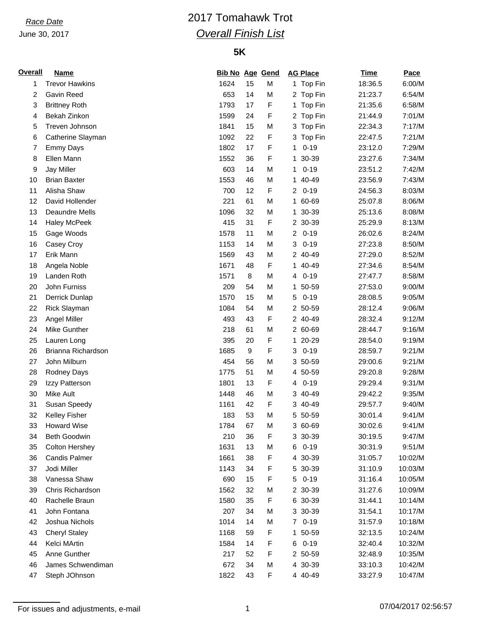### June 30, 2017

## *Race Date* 2017 Tomahawk Trot *Overall Finish List*

## **5K**

| <b>Overall</b> | <b>Name</b>           | <b>Bib No Age Gend</b> |    |   | <b>AG Place</b>            | <b>Time</b> | Pace    |
|----------------|-----------------------|------------------------|----|---|----------------------------|-------------|---------|
| 1              | <b>Trevor Hawkins</b> | 1624                   | 15 | М | 1 Top Fin                  | 18:36.5     | 6:00/M  |
| 2              | Gavin Reed            | 653                    | 14 | M | 2 Top Fin                  | 21:23.7     | 6:54/M  |
| 3              | <b>Brittney Roth</b>  | 1793                   | 17 | F | 1 Top Fin                  | 21:35.6     | 6:58/M  |
| 4              | Bekah Zinkon          | 1599                   | 24 | F | 2 Top Fin                  | 21:44.9     | 7:01/M  |
| 5              | Treven Johnson        | 1841                   | 15 | М | 3 Top Fin                  | 22:34.3     | 7:17/M  |
| 6              | Catherine Slayman     | 1092                   | 22 | F | 3 Top Fin                  | 22:47.5     | 7:21/M  |
| 7              | <b>Emmy Days</b>      | 1802                   | 17 | F | $0 - 19$<br>1              | 23:12.0     | 7:29/M  |
| 8              | Ellen Mann            | 1552                   | 36 | F | 30-39<br>1                 | 23:27.6     | 7:34/M  |
| 9              | <b>Jay Miller</b>     | 603                    | 14 | M | $0 - 19$<br>1              | 23:51.2     | 7:42/M  |
| 10             | <b>Brian Baxter</b>   | 1553                   | 46 | М | 40-49<br>1.                | 23:56.9     | 7:43/M  |
| 11             | Alisha Shaw           | 700                    | 12 | F | $0 - 19$<br>$\overline{2}$ | 24:56.3     | 8:03/M  |
| 12             | David Hollender       | 221                    | 61 | M | 60-69<br>1.                | 25:07.8     | 8:06/M  |
| 13             | Deaundre Mells        | 1096                   | 32 | M | 30-39<br>1.                | 25:13.6     | 8:08/M  |
| 14             | <b>Haley McPeek</b>   | 415                    | 31 | F | 2 30-39                    | 25:29.9     | 8:13/M  |
| 15             | Gage Woods            | 1578                   | 11 | M | $0 - 19$<br>$\overline{2}$ | 26:02.6     | 8:24/M  |
| 16             | Casey Croy            | 1153                   | 14 | M | $0 - 19$<br>3              | 27:23.8     | 8:50/M  |
| 17             | Erik Mann             | 1569                   | 43 | M | 2 40-49                    | 27:29.0     | 8:52/M  |
| 18             | Angela Noble          | 1671                   | 48 | F | 1 40-49                    | 27:34.6     | 8:54/M  |
| 19             | Landen Roth           | 1571                   | 8  | M | $0 - 19$<br>4              | 27:47.7     | 8:58/M  |
| 20             | John Furniss          | 209                    | 54 | M | 50-59<br>1                 | 27:53.0     | 9:00/M  |
| 21             | Derrick Dunlap        | 1570                   | 15 | M | $0 - 19$<br>5              | 28:08.5     | 9:05/M  |
| 22             | Rick Slayman          | 1084                   | 54 | M | 2 50-59                    | 28:12.4     | 9:06/M  |
| 23             | Angel Miller          | 493                    | 43 | F | 2 40-49                    | 28:32.4     | 9:12/M  |
| 24             | Mike Gunther          | 218                    | 61 | M | 2 60-69                    | 28:44.7     | 9:16/M  |
|                |                       |                        | 20 | F | 20-29                      |             |         |
| 25             | Lauren Long           | 395                    |    |   | 1.                         | 28:54.0     | 9:19/M  |
| 26             | Brianna Richardson    | 1685                   | 9  | F | $0 - 19$<br>3              | 28:59.7     | 9:21/M  |
| 27             | John Milburn          | 454                    | 56 | M | 50-59<br>3                 | 29:00.6     | 9:21/M  |
| 28             | Rodney Days           | 1775                   | 51 | M | 50-59<br>4                 | 29:20.8     | 9:28/M  |
| 29             | Izzy Patterson        | 1801                   | 13 | F | $0 - 19$<br>4              | 29:29.4     | 9:31/M  |
| 30             | Mike Ault             | 1448                   | 46 | M | 40-49<br>3                 | 29:42.2     | 9:35/M  |
| 31             | Susan Speedy          | 1161                   | 42 | F | 40-49<br>3.                | 29:57.7     | 9:40/M  |
| 32             | Kelley Fisher         | 183                    | 53 | M | 5 50-59                    | 30:01.4     | 9:41/M  |
| 33             | <b>Howard Wise</b>    | 1784                   | 67 | M | 3 60-69                    | 30:02.6     | 9:41/M  |
| 34             | Beth Goodwin          | 210                    | 36 | F | 3 30-39                    | 30:19.5     | 9:47/M  |
| 35             | Colton Hershey        | 1631                   | 13 | M | $0 - 19$<br>6              | 30:31.9     | 9:51/M  |
| 36             | <b>Candis Palmer</b>  | 1661                   | 38 | F | 4 30-39                    | 31:05.7     | 10:02/M |
| 37             | Jodi Miller           | 1143                   | 34 | F | 5 30-39                    | 31:10.9     | 10:03/M |
| 38             | Vanessa Shaw          | 690                    | 15 | F | $0 - 19$<br>5              | 31:16.4     | 10:05/M |
| 39             | Chris Richardson      | 1562                   | 32 | М | 2 30-39                    | 31:27.6     | 10:09/M |
| 40             | Rachelle Braun        | 1580                   | 35 | F | 6 30-39                    | 31:44.1     | 10:14/M |
| 41             | John Fontana          | 207                    | 34 | M | 3 30-39                    | 31:54.1     | 10:17/M |
| 42             | Joshua Nichols        | 1014                   | 14 | M | $0 - 19$<br>7              | 31:57.9     | 10:18/M |
| 43             | <b>Cheryl Staley</b>  | 1168                   | 59 | F | 50-59<br>1.                | 32:13.5     | 10:24/M |
| 44             | Kelci MArtin          | 1584                   | 14 | F | $0 - 19$<br>6              | 32:40.4     | 10:32/M |
| 45             | Anne Gunther          | 217                    | 52 | F | 2 50-59                    | 32:48.9     | 10:35/M |
| 46             | James Schwendiman     | 672                    | 34 | M | 4 30-39                    | 33:10.3     | 10:42/M |
| 47             | Steph JOhnson         | 1822                   | 43 | F | 4 40-49                    | 33:27.9     | 10:47/M |

For issues and adjustments, e-mail 1 07/04/2017 02:56:57